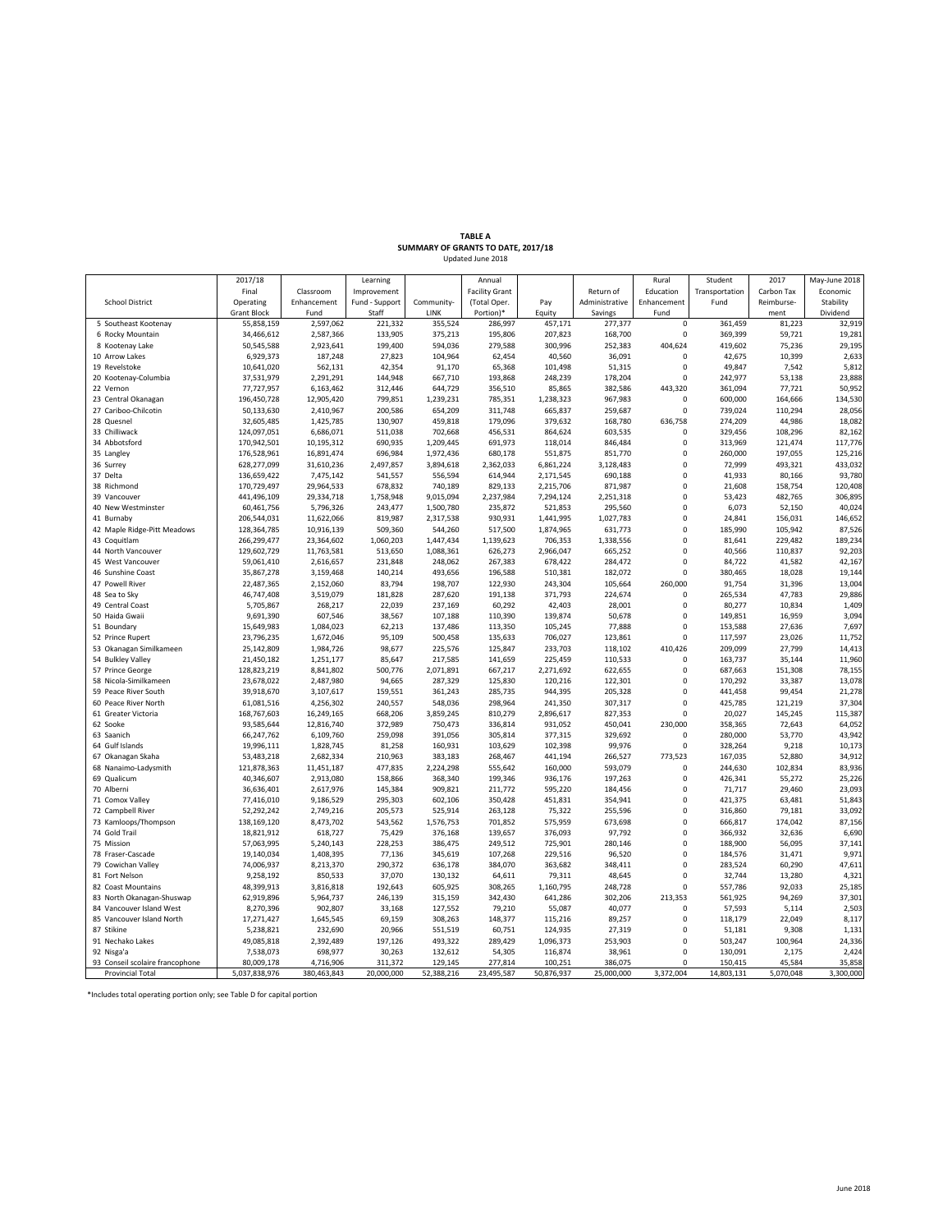## **TABLE A<br><b>SUMMARY OF GRANTS TO DATE, 2017/18**<br>Updated June 2018

|                                     | 2017/18                    |                         | Learning           |                      | Annual                |                    |                    | Rural            | Student            | 2017               | May-June 2018     |
|-------------------------------------|----------------------------|-------------------------|--------------------|----------------------|-----------------------|--------------------|--------------------|------------------|--------------------|--------------------|-------------------|
|                                     | Final                      | Classroom               | Improvement        |                      | <b>Facility Grant</b> |                    | Return of          | Education        | Transportation     | Carbon Tax         | Economic          |
| <b>School District</b>              | Operating                  | Enhancement             | Fund - Support     | Community-           | (Total Oper.          | Pay                | Administrative     | Enhancement      | Fund               | Reimburse-         | Stability         |
|                                     | <b>Grant Block</b>         | Fund                    | Staff              | LINK                 | Portion)*             | Equity             | Savings            | Fund             |                    | ment               | Dividend          |
| 5 Southeast Kootenay                | 55,858,159                 | 2,597,062               | 221,332            | 355,524              | 286,997               | 457,171            | 277,377            | 0                | 361,459            | 81,223             | 32,919            |
| 6 Rocky Mountain                    | 34,466,612                 | 2,587,366               | 133,905            | 375,213              | 195,806               | 207,823            | 168,700            | $\pmb{0}$        | 369,399            | 59,721             | 19,281            |
| 8 Kootenay Lake                     | 50,545,588                 | 2,923,641               | 199,400            | 594,036              | 279,588               | 300,996            | 252,383            | 404,624          | 419,602            | 75,236             | 29,195            |
| 10 Arrow Lakes                      | 6,929,373                  | 187,248                 | 27,823             | 104,964              | 62,454                | 40,560             | 36,091             | 0                | 42,675             | 10,399             | 2,633             |
| 19 Revelstoke                       | 10,641,020                 | 562,131                 | 42,354             | 91,170               | 65,368                | 101,498            | 51,315             | $\Omega$         | 49,847             | 7,542              | 5,812             |
| 20 Kootenay-Columbia                | 37,531,979                 | 2,291,291               | 144,948            | 667,710              | 193,868               | 248,239            | 178,204            | $\Omega$         | 242,977            | 53,138             | 23,888            |
| 22 Vernon                           | 77,727,957                 | 6,163,462               | 312,446            | 644,729              | 356,510               | 85,865             | 382,586            | 443,320          | 361,094            | 77,721             | 50,952            |
| 23 Central Okanagan                 | 196,450,728                | 12,905,420              | 799,851            | 1,239,231            | 785,351               | 1,238,323          | 967,983            | 0                | 600,000            | 164,666            | 134,530           |
| 27 Cariboo-Chilcotin<br>28 Quesnel  | 50,133,630                 | 2,410,967               | 200,586            | 654,209              | 311,748               | 665,837            | 259,687            | 0<br>636.758     | 739,024            | 110,294            | 28,056<br>18,082  |
|                                     | 32,605,485                 | 1,425,785               | 130,907            | 459,818              | 179,096               | 379,632            | 168,780            |                  | 274,209            | 44,986             |                   |
| 33 Chilliwack<br>34 Abbotsford      | 124,097,051<br>170,942,501 | 6,686,071<br>10,195,312 | 511,038<br>690,935 | 702,668<br>1,209,445 | 456,531<br>691,973    | 864,624<br>118,014 | 603,535<br>846,484 | 0<br>$\Omega$    | 329,456<br>313,969 | 108,296<br>121,474 | 82,162<br>117,776 |
| 35 Langley                          | 176,528,961                | 16,891,474              | 696,984            | 1,972,436            | 680,178               | 551,875            | 851,770            | $\Omega$         | 260,000            | 197,055            | 125,216           |
| 36 Surrey                           | 628,277,099                | 31,610,236              | 2,497,857          | 3,894,618            | 2,362,033             | 6,861,224          | 3,128,483          | $\Omega$         | 72,999             | 493,321            | 433,032           |
| 37 Delta                            | 136,659,422                | 7,475,142               | 541,557            | 556,594              | 614,944               | 2,171,545          | 690,188            | $\mathbf 0$      | 41,933             | 80,166             | 93,780            |
| 38 Richmond                         | 170,729,497                | 29,964,533              | 678,832            | 740,189              | 829,133               | 2,215,706          | 871,987            | $\bf 0$          | 21,608             | 158,754            | 120,408           |
| 39 Vancouver                        | 441,496,109                | 29,334,718              | 1,758,948          | 9,015,094            | 2,237,984             | 7,294,124          | 2,251,318          | $\Omega$         | 53,423             | 482,765            | 306,895           |
| 40 New Westminster                  | 60,461,756                 | 5,796,326               | 243,477            | 1,500,780            | 235,872               | 521,853            | 295,560            | $\mathbf 0$      | 6,073              | 52,150             | 40,024            |
| 41 Burnaby                          | 206,544,031                | 11,622,066              | 819,987            | 2,317,538            | 930,931               | 1,441,995          | 1,027,783          | $\mathbf 0$      | 24,841             | 156,031            | 146,652           |
| 42 Maple Ridge-Pitt Meadows         | 128,364,785                | 10,916,139              | 509,360            | 544,260              | 517,500               | 1,874,965          | 631,773            | $\Omega$         | 185,990            | 105,942            | 87,526            |
| 43 Coquitlam                        | 266,299,477                | 23,364,602              | 1,060,203          | 1,447,434            | 1,139,623             | 706,353            | 1,338,556          | $\Omega$         | 81,641             | 229,482            | 189,234           |
| 44 North Vancouver                  | 129,602,729                | 11,763,581              | 513,650            | 1,088,361            | 626,273               | 2,966,047          | 665,252            | 0                | 40,566             | 110,837            | 92,203            |
| 45 West Vancouver                   | 59,061,410                 | 2,616,657               | 231,848            | 248,062              | 267,383               | 678,422            | 284,472            | $\pmb{0}$        | 84,722             | 41,582             | 42,167            |
| 46 Sunshine Coast                   | 35,867,278                 | 3,159,468               | 140,214            | 493,656              | 196,588               | 510,381            | 182,072            | $\mathbf 0$      | 380,465            | 18,028             | 19,144            |
| 47 Powell River                     | 22,487,365                 | 2,152,060               | 83,794             | 198,707              | 122,930               | 243,304            | 105,664            | 260,000          | 91,754             | 31,396             | 13,004            |
| 48 Sea to Sky                       | 46,747,408                 | 3,519,079               | 181,828            | 287,620              | 191,138               | 371,793            | 224,674            | $\Omega$         | 265,534            | 47,783             | 29,886            |
| 49 Central Coast                    | 5,705,867                  | 268,217                 | 22,039             | 237,169              | 60,292                | 42,403             | 28,001             | $\Omega$         | 80,277             | 10,834             | 1,409             |
| 50 Haida Gwaii                      | 9,691,390                  | 607,546                 | 38,567             | 107,188              | 110,390               | 139,874            | 50,678             | $\mathbf 0$      | 149,851            | 16,959             | 3,094             |
| 51 Boundary                         | 15,649,983                 | 1,084,023               | 62,213             | 137,486              | 113,350               | 105,245            | 77,888             | $\mathbf 0$      | 153,588            | 27,636             | 7,697             |
| 52 Prince Rupert                    | 23,796,235                 | 1,672,046               | 95,109             | 500,458              | 135,633               | 706,027            | 123,861            | 0                | 117,597            | 23,026             | 11,75             |
| 53 Okanagan Similkameen             | 25,142,809                 | 1,984,726               | 98,677             | 225,576              | 125,847               | 233,703            | 118,102            | 410.426          | 209,099            | 27,799             | 14,413            |
| 54 Bulkley Valley                   | 21,450,182                 | 1,251,177               | 85,647             | 217,585              | 141,659               | 225,459            | 110,533            | $\Omega$         | 163,737            | 35,144             | 11,960            |
| 57 Prince George                    | 128,823,219                | 8,841,802               | 500,776            | 2,071,891            | 667,217               | 2,271,692          | 622,655            | $\Omega$         | 687,663            | 151,308            | 78,15             |
| 58 Nicola-Similkameen               | 23,678,022                 | 2,487,980               | 94,665             | 287,329              | 125,830               | 120,216            | 122,301            | $\Omega$         | 170,292            | 33,387             | 13,078            |
| 59 Peace River South                | 39,918,670                 | 3,107,617               | 159,551            | 361,243              | 285,735               | 944,395            | 205,328            | $\Omega$         | 441,458            | 99,454             | 21,278            |
| 60 Peace River North                | 61,081,516                 | 4,256,302               | 240,557            | 548,036              | 298,964               | 241,350            | 307,317            | $\mathbf 0$      | 425,785            | 121,219            | 37,304            |
| 61 Greater Victoria                 | 168,767,603                | 16,249,165              | 668,206            | 3,859,245            | 810,279               | 2,896,617          | 827,353            | 0                | 20,027             | 145,245            | 115,387           |
| 62 Sooke                            | 93,585,644                 | 12,816,740              | 372,989            | 750,473              | 336,814               | 931,052            | 450,041            | 230,000          | 358,365            | 72,643             | 64,052            |
| 63 Saanich                          | 66,247,762                 | 6,109,760               | 259,098            | 391,056              | 305,814               | 377,315            | 329,692            | $\mathbf 0$      | 280,000            | 53,770             | 43,942            |
| 64 Gulf Islands                     | 19,996,111                 | 1,828,745               | 81,258             | 160,931              | 103,629               | 102,398            | 99,976             | $\mathbf 0$      | 328,264            | 9,218              | 10,173            |
| 67 Okanagan Skaha                   | 53,483,218                 | 2,682,334               | 210,963            | 383,183              | 268,467               | 441,194            | 266,527            | 773,523          | 167,035            | 52,880             | 34,912            |
| 68 Nanaimo-Ladysmith<br>69 Qualicum | 121,878,363                | 11,451,187              | 477,835            | 2,224,298            | 555,642               | 160,000            | 593,079            | 0<br>$\mathbf 0$ | 244,630            | 102,834            | 83,936            |
|                                     | 40,346,607                 | 2,913,080               | 158,866            | 368,340              | 199,346               | 936,176            | 197,263            |                  | 426,341            | 55,272             | 25,226            |
| 70 Alberni<br>71 Comox Valley       | 36,636,401<br>77,416,010   | 2,617,976<br>9,186,529  | 145,384<br>295,303 | 909,821<br>602,106   | 211,772<br>350,428    | 595,220<br>451,831 | 184,456<br>354,941 | 0<br>$\mathbf 0$ | 71,717<br>421,375  | 29,460<br>63,481   | 23,093<br>51,843  |
| 72 Campbell River                   | 52,292,242                 | 2,749,216               | 205,573            | 525,914              | 263,128               | 75,322             | 255,596            | $\Omega$         | 316,860            | 79,181             | 33,09             |
| 73 Kamloops/Thompson                | 138,169,120                | 8,473,702               | 543,562            | 1,576,753            | 701,852               | 575,959            | 673,698            | $\mathbf 0$      | 666,817            | 174,042            | 87,156            |
| 74 Gold Trail                       | 18,821,912                 | 618,727                 | 75,429             | 376,168              | 139,657               | 376,093            | 97,792             | $\Omega$         | 366,932            | 32,636             | 6,690             |
| 75 Mission                          | 57,063,995                 | 5,240,143               | 228,253            | 386,475              | 249,512               | 725,901            | 280,146            | $\mathbf 0$      | 188,900            | 56,095             | 37,143            |
| 78 Fraser-Cascade                   | 19,140,034                 | 1,408,395               | 77,136             | 345,619              | 107,268               | 229,516            | 96,520             | $\mathbf 0$      | 184,576            | 31,471             | 9,971             |
| 79 Cowichan Valley                  | 74,006,937                 | 8,213,370               | 290,372            | 636,178              | 384,070               | 363,682            | 348,411            | 0                | 283,524            | 60,290             | 47,61             |
| 81 Fort Nelson                      | 9,258,192                  | 850,533                 | 37,070             | 130,132              | 64,611                | 79,311             | 48,645             | $\mathbf 0$      | 32,744             | 13,280             | 4,32              |
| 82 Coast Mountains                  | 48,399,913                 | 3,816,818               | 192,643            | 605,925              | 308,265               | 1,160,795          | 248,728            | $\mathbf 0$      | 557,786            | 92,033             | 25,185            |
| 83 North Okanagan-Shuswap           | 62,919,896                 | 5,964,737               | 246,139            | 315,159              | 342,430               | 641,286            | 302,206            | 213,353          | 561,925            | 94,269             | 37,301            |
| 84 Vancouver Island West            | 8,270,396                  | 902,807                 | 33,168             | 127,552              | 79,210                | 55,087             | 40,077             | $\Omega$         | 57,593             | 5,114              | 2,503             |
| 85 Vancouver Island North           | 17,271,427                 | 1,645,545               | 69,159             | 308,263              | 148,377               | 115,216            | 89,257             | $\Omega$         | 118,179            | 22,049             | 8,11              |
| 87 Stikine                          | 5,238,821                  | 232,690                 | 20,966             | 551,519              | 60,751                | 124,935            | 27,319             | $\Omega$         | 51,181             | 9,308              | 1,131             |
| 91 Nechako Lakes                    | 49,085,818                 | 2,392,489               | 197,126            | 493,322              | 289,429               | 1,096,373          | 253,903            | $\bf 0$          | 503,247            | 100,964            | 24,336            |
| 92 Nisga'a                          | 7,538,073                  | 698,977                 | 30,263             | 132,612              | 54,305                | 116,874            | 38,961             | $\mathbf 0$      | 130,091            | 2,175              | 2,424             |
| 93 Conseil scolaire francophone     | 80,009,178                 | 4,716,906               | 311,372            | 129,145              | 277,814               | 100,251            | 386,075            | $\Omega$         | 150,415            | 45,584             | 35,858            |
| <b>Provincial Total</b>             | 5,037,838,976              | 380,463,843             | 20,000,000         | 52,388,216           | 23,495,587            | 50,876,937         | 25,000,000         | 3.372.004        | 14,803,131         | 5,070,048          | 3,300,000         |

\*Includes total operating portion only; see Table D for capital portion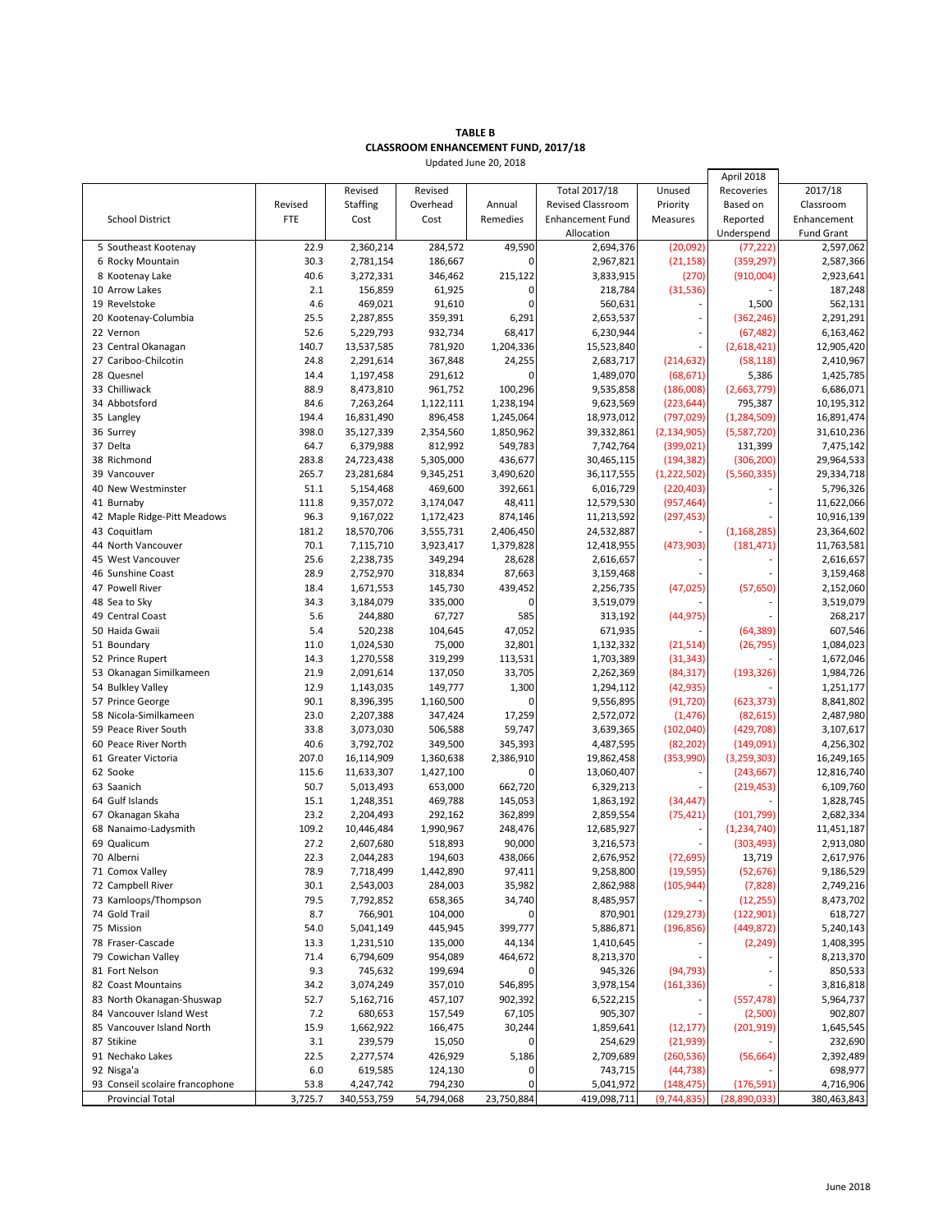## **TABLE B CLASSROOM ENHANCEMENT FUND, 2017/18**

Updated June 20, 2018

l,

|                                 |         |             |            |             |                         |               | April 2018    |                   |
|---------------------------------|---------|-------------|------------|-------------|-------------------------|---------------|---------------|-------------------|
|                                 |         | Revised     | Revised    |             | Total 2017/18           | Unused        | Recoveries    | 2017/18           |
|                                 | Revised | Staffing    | Overhead   | Annual      | Revised Classroom       | Priority      | Based on      | Classroom         |
| <b>School District</b>          | FTE     | Cost        | Cost       | Remedies    | <b>Enhancement Fund</b> | Measures      | Reported      | Enhancement       |
|                                 |         |             |            |             | Allocation              |               | Underspend    | <b>Fund Grant</b> |
| 5 Southeast Kootenay            | 22.9    | 2,360,214   | 284,572    | 49,590      | 2,694,376               | (20,092)      | (77, 222)     | 2,597,062         |
| 6 Rocky Mountain                | 30.3    | 2,781,154   | 186,667    | 0           | 2,967,821               | (21, 158)     | (359, 297)    | 2,587,366         |
| 8 Kootenay Lake                 | 40.6    | 3,272,331   | 346,462    | 215,122     | 3,833,915               | (270)         | (910,004)     | 2,923,641         |
| 10 Arrow Lakes                  | 2.1     | 156,859     | 61,925     | 0           | 218,784                 | (31,536)      |               | 187,248           |
| 19 Revelstoke                   | 4.6     | 469,021     | 91,610     | $\mathbf 0$ | 560,631                 |               | 1,500         | 562,131           |
| 20 Kootenay-Columbia            | 25.5    | 2,287,855   | 359,391    | 6,291       | 2,653,537               |               | (362, 246)    | 2,291,291         |
| 22 Vernon                       | 52.6    | 5,229,793   | 932,734    | 68,417      | 6,230,944               |               |               |                   |
|                                 |         |             |            |             |                         |               | (67, 482)     | 6,163,462         |
| 23 Central Okanagan             | 140.7   | 13,537,585  | 781,920    | 1,204,336   | 15,523,840              |               | (2,618,421)   | 12,905,420        |
| 27 Cariboo-Chilcotin            | 24.8    | 2,291,614   | 367,848    | 24,255      | 2,683,717               | (214, 632)    | (58, 118)     | 2,410,967         |
| 28 Quesnel                      | 14.4    | 1,197,458   | 291,612    | 0           | 1,489,070               | (68, 671)     | 5,386         | 1,425,785         |
| 33 Chilliwack                   | 88.9    | 8,473,810   | 961,752    | 100,296     | 9,535,858               | (186,008)     | (2,663,779)   | 6,686,071         |
| 34 Abbotsford                   | 84.6    | 7,263,264   | 1,122,111  | 1,238,194   | 9,623,569               | (223, 644)    | 795,387       | 10,195,312        |
| 35 Langley                      | 194.4   | 16,831,490  | 896,458    | 1,245,064   | 18,973,012              | (797, 029)    | (1, 284, 509) | 16,891,474        |
| 36 Surrey                       | 398.0   | 35,127,339  | 2,354,560  | 1,850,962   | 39,332,861              | (2, 134, 905) | (5,587,720)   | 31,610,236        |
| 37 Delta                        | 64.7    | 6,379,988   | 812,992    | 549,783     | 7,742,764               | (399, 021)    | 131,399       | 7,475,142         |
| 38 Richmond                     | 283.8   | 24,723,438  | 5,305,000  | 436,677     | 30,465,115              | (194, 382)    | (306, 200)    | 29,964,533        |
| 39 Vancouver                    | 265.7   | 23,281,684  | 9,345,251  | 3,490,620   | 36,117,555              | (1,222,502)   | (5,560,335)   | 29,334,718        |
| 40 New Westminster              | 51.1    | 5,154,468   | 469,600    | 392,661     | 6,016,729               | (220, 403)    |               | 5,796,326         |
| 41 Burnaby                      | 111.8   | 9,357,072   | 3,174,047  | 48,411      | 12,579,530              | (957, 464)    |               | 11,622,066        |
| 42 Maple Ridge-Pitt Meadows     | 96.3    | 9,167,022   | 1,172,423  | 874,146     | 11,213,592              | (297, 453)    |               | 10,916,139        |
| 43 Coquitlam                    | 181.2   |             |            | 2,406,450   |                         |               |               | 23,364,602        |
|                                 |         | 18,570,706  | 3,555,731  |             | 24,532,887              |               | (1, 168, 285) |                   |
| 44 North Vancouver              | 70.1    | 7,115,710   | 3,923,417  | 1,379,828   | 12,418,955              | (473,903)     | (181, 471)    | 11,763,581        |
| 45 West Vancouver               | 25.6    | 2,238,735   | 349,294    | 28,628      | 2,616,657               |               |               | 2,616,657         |
| 46 Sunshine Coast               | 28.9    | 2,752,970   | 318,834    | 87,663      | 3,159,468               |               |               | 3,159,468         |
| 47 Powell River                 | 18.4    | 1,671,553   | 145,730    | 439,452     | 2,256,735               | (47, 025)     | (57, 650)     | 2,152,060         |
| 48 Sea to Sky                   | 34.3    | 3,184,079   | 335,000    | 0           | 3,519,079               |               |               | 3,519,079         |
| 49 Central Coast                | 5.6     | 244,880     | 67,727     | 585         | 313,192                 | (44, 975)     |               | 268,217           |
| 50 Haida Gwaii                  | 5.4     | 520,238     | 104,645    | 47,052      | 671,935                 |               | (64, 389)     | 607,546           |
| 51 Boundary                     | 11.0    | 1,024,530   | 75,000     | 32,801      | 1,132,332               | (21, 514)     | (26, 795)     | 1,084,023         |
| 52 Prince Rupert                | 14.3    | 1,270,558   | 319,299    | 113,531     | 1,703,389               | (31, 343)     |               | 1,672,046         |
| 53 Okanagan Similkameen         | 21.9    | 2,091,614   | 137,050    | 33,705      | 2,262,369               | (84, 317)     | (193, 326)    | 1,984,726         |
| 54 Bulkley Valley               | 12.9    | 1,143,035   | 149,777    | 1,300       | 1,294,112               | (42, 935)     |               | 1,251,177         |
| 57 Prince George                | 90.1    | 8,396,395   | 1,160,500  | 0           | 9,556,895               | (91, 720)     | (623, 373)    | 8,841,802         |
| 58 Nicola-Similkameen           | 23.0    | 2,207,388   | 347,424    | 17,259      | 2,572,072               | (1, 476)      | (82, 615)     | 2,487,980         |
| 59 Peace River South            | 33.8    | 3,073,030   | 506,588    | 59,747      | 3,639,365               | (102, 040)    | (429, 708)    | 3,107,617         |
| 60 Peace River North            | 40.6    | 3,792,702   | 349,500    | 345,393     | 4,487,595               | (82, 202)     | (149,091)     | 4,256,302         |
| 61 Greater Victoria             | 207.0   | 16,114,909  | 1,360,638  | 2,386,910   | 19,862,458              | (353,990)     | (3,259,303)   | 16,249,165        |
| 62 Sooke                        |         |             |            | 0           |                         |               |               |                   |
|                                 | 115.6   | 11,633,307  | 1,427,100  |             | 13,060,407<br>6,329,213 |               | (243, 667)    | 12,816,740        |
| 63 Saanich                      | 50.7    | 5,013,493   | 653,000    | 662,720     |                         |               | (219, 453)    | 6,109,760         |
| 64 Gulf Islands                 | 15.1    | 1,248,351   | 469,788    | 145,053     | 1,863,192               | (34, 447)     |               | 1,828,745         |
| 67 Okanagan Skaha               | 23.2    | 2,204,493   | 292,162    | 362,899     | 2,859,554               | (75, 421)     | (101, 799)    | 2,682,334         |
| 68 Nanaimo-Ladysmith            | 109.2   | 10,446,484  | 1,990,967  | 248,476     | 12,685,927              |               | (1,234,740)   | 11,451,187        |
| 69 Qualicum                     | 27.2    | 2,607,680   | 518,893    | 90,000      | 3,216,573               |               | (303, 493)    | 2,913,080         |
| 70 Alberni                      | 22.3    | 2,044,283   | 194,603    | 438,066     | 2,676,952               | (72, 695)     | 13,719        | 2,617,976         |
| 71 Comox Valley                 | 78.9    | 7,718,499   | 1,442,890  | 97,411      | 9,258,800               | (19, 595)     | (52, 676)     | 9,186,529         |
| 72 Campbell River               | 30.1    | 2,543,003   | 284,003    | 35,982      | 2,862,988               | (105, 944)    | (7,828)       | 2,749,216         |
| 73 Kamloops/Thompson            | 79.5    | 7,792,852   | 658,365    | 34,740      | 8,485,957               |               | (12, 255)     | 8,473,702         |
| 74 Gold Trail                   | 8.7     | 766,901     | 104,000    | 0           | 870,901                 | (129, 273)    | (122, 901)    | 618,727           |
| 75 Mission                      | 54.0    | 5,041,149   | 445,945    | 399,777     | 5,886,871               | (196, 856)    | (449, 872)    | 5,240,143         |
| 78 Fraser-Cascade               | 13.3    | 1,231,510   | 135,000    | 44,134      | 1,410,645               |               | (2, 249)      | 1,408,395         |
| 79 Cowichan Valley              | 71.4    | 6,794,609   | 954,089    | 464,672     | 8,213,370               |               |               | 8,213,370         |
| 81 Fort Nelson                  | 9.3     | 745,632     | 199,694    | 0           | 945,326                 | (94, 793)     |               | 850,533           |
| 82 Coast Mountains              | 34.2    | 3,074,249   | 357,010    | 546,895     | 3,978,154               | (161, 336)    |               | 3,816,818         |
|                                 |         |             |            |             |                         |               |               |                   |
| 83 North Okanagan-Shuswap       | 52.7    | 5,162,716   | 457,107    | 902,392     | 6,522,215               |               | (557, 478)    | 5,964,737         |
| 84 Vancouver Island West        | 7.2     | 680,653     | 157,549    | 67,105      | 905,307                 |               | (2,500)       | 902,807           |
| 85 Vancouver Island North       | 15.9    | 1,662,922   | 166,475    | 30,244      | 1,859,641               | (12, 177)     | (201, 919)    | 1,645,545         |
| 87 Stikine                      | 3.1     | 239,579     | 15,050     | 0           | 254,629                 | (21, 939)     |               | 232,690           |
| 91 Nechako Lakes                | 22.5    | 2,277,574   | 426,929    | 5,186       | 2,709,689               | (260, 536)    | (56, 664)     | 2,392,489         |
| 92 Nisga'a                      | 6.0     | 619,585     | 124,130    | 0           | 743,715                 | (44, 738)     |               | 698,977           |
| 93 Conseil scolaire francophone | 53.8    | 4,247,742   | 794,230    | 0           | 5,041,972               | (148, 475)    | (176, 591)    | 4,716,906         |
| <b>Provincial Total</b>         | 3,725.7 | 340,553,759 | 54,794,068 | 23,750,884  | 419,098,711             | (9,744,835)   | (28,890,033)  | 380,463,843       |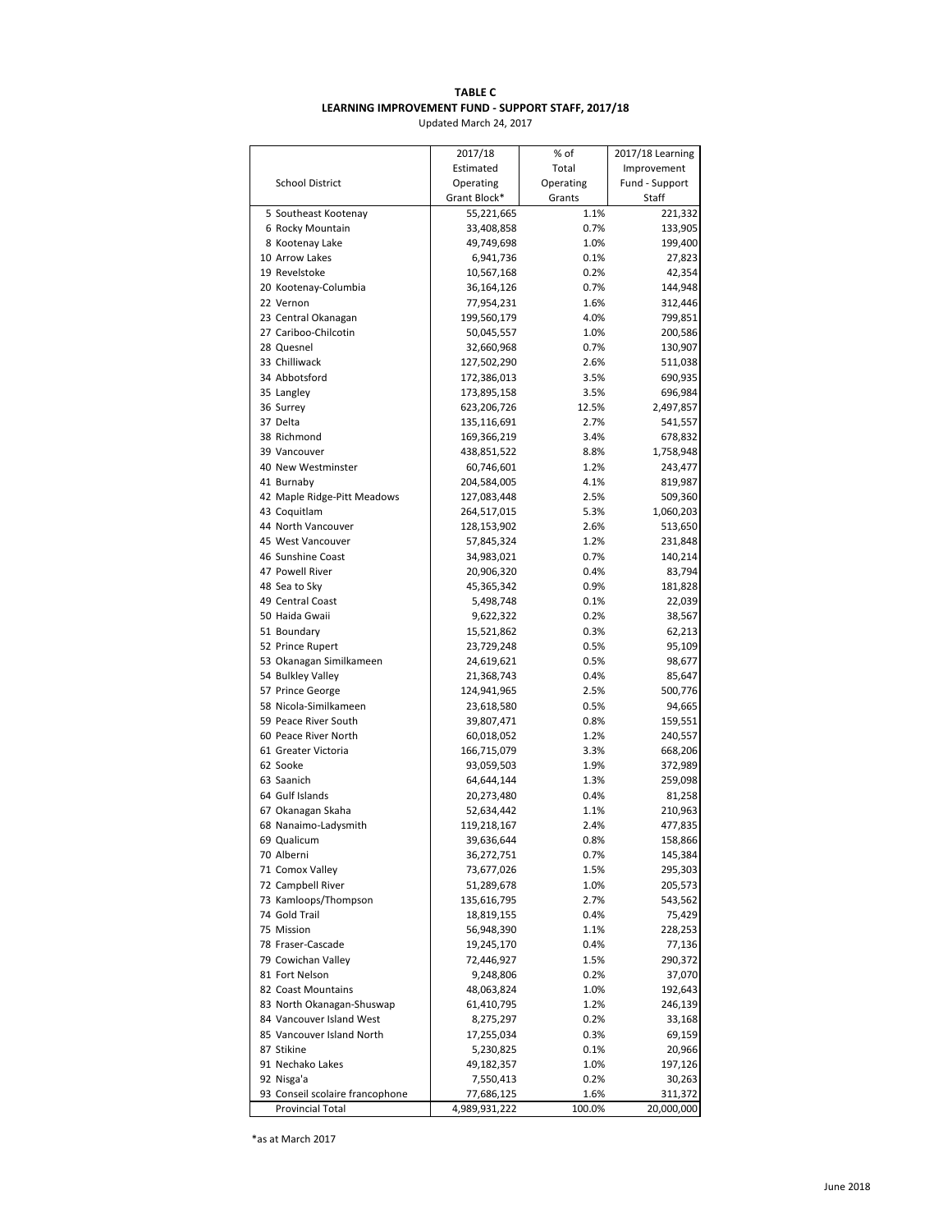## **TABLE C LEARNING IMPROVEMENT FUND - SUPPORT STAFF, 2017/18**

Updated March 24, 2017

|                                             | 2017/18                  | % of         | 2017/18 Learning |
|---------------------------------------------|--------------------------|--------------|------------------|
|                                             | Estimated                | Total        | Improvement      |
| <b>School District</b>                      | Operating                | Operating    | Fund - Support   |
|                                             | Grant Block*             | Grants       | <b>Staff</b>     |
| 5 Southeast Kootenay                        | 55,221,665               | 1.1%         | 221,332          |
| 6 Rocky Mountain                            | 33,408,858               | 0.7%         | 133,905          |
| 8 Kootenay Lake                             | 49,749,698               | 1.0%         | 199,400          |
| 10 Arrow Lakes                              | 6,941,736                | 0.1%         | 27,823           |
| 19 Revelstoke                               | 10,567,168               | 0.2%         | 42,354           |
| 20 Kootenay-Columbia                        | 36,164,126               | 0.7%         | 144,948          |
| 22 Vernon                                   | 77,954,231               | 1.6%         | 312,446          |
| 23 Central Okanagan                         | 199,560,179              | 4.0%         | 799,851          |
| 27 Cariboo-Chilcotin                        | 50,045,557               | 1.0%         | 200,586          |
| 28 Quesnel                                  | 32,660,968               | 0.7%         | 130,907          |
| 33 Chilliwack                               | 127,502,290              | 2.6%         | 511,038          |
| 34 Abbotsford                               | 172,386,013              | 3.5%         | 690,935          |
| 35 Langley                                  | 173,895,158              | 3.5%         | 696,984          |
| 36 Surrey                                   | 623,206,726              | 12.5%        | 2,497,857        |
| 37 Delta                                    | 135,116,691              | 2.7%         | 541,557          |
| 38 Richmond                                 | 169,366,219              | 3.4%         | 678,832          |
| 39 Vancouver                                | 438,851,522              | 8.8%         | 1,758,948        |
| 40 New Westminster                          | 60,746,601               | 1.2%         | 243,477          |
| 41 Burnaby                                  | 204,584,005              | 4.1%         | 819,987          |
| 42 Maple Ridge-Pitt Meadows                 | 127,083,448              | 2.5%         | 509,360          |
| 43 Coquitlam                                | 264,517,015              | 5.3%         | 1,060,203        |
| 44 North Vancouver                          | 128,153,902              | 2.6%         | 513,650          |
| 45 West Vancouver                           | 57,845,324               | 1.2%         | 231,848          |
| 46 Sunshine Coast                           | 34,983,021               | 0.7%         | 140,214          |
| 47 Powell River                             | 20,906,320               | 0.4%         | 83,794           |
| 48 Sea to Sky                               | 45,365,342               | 0.9%         | 181,828          |
| 49 Central Coast                            | 5,498,748                | 0.1%         | 22,039           |
| 50 Haida Gwaii                              | 9,622,322                | 0.2%         | 38,567           |
| 51 Boundary                                 | 15,521,862<br>23,729,248 | 0.3%         | 62,213           |
| 52 Prince Rupert<br>53 Okanagan Similkameen | 24,619,621               | 0.5%<br>0.5% | 95,109<br>98,677 |
| 54 Bulkley Valley                           | 21,368,743               | 0.4%         | 85,647           |
| 57 Prince George                            | 124,941,965              | 2.5%         | 500,776          |
| 58 Nicola-Similkameen                       | 23,618,580               | 0.5%         | 94,665           |
| 59 Peace River South                        | 39,807,471               | 0.8%         | 159,551          |
| 60 Peace River North                        | 60,018,052               | 1.2%         | 240,557          |
| 61 Greater Victoria                         | 166,715,079              | 3.3%         | 668,206          |
| 62 Sooke                                    | 93,059,503               | 1.9%         | 372,989          |
| 63 Saanich                                  | 64,644,144               | 1.3%         | 259,098          |
| 64 Gulf Islands                             | 20,273,480               | 0.4%         | 81,258           |
| 67 Okanagan Skaha                           | 52,634,442               | 1.1%         | 210,963          |
| 68 Nanaimo-Ladysmith                        | 119,218,167              | 2.4%         | 477,835          |
| 69 Qualicum                                 | 39,636,644               | 0.8%         | 158,866          |
| 70 Alberni                                  | 36,272,751               | 0.7%         | 145,384          |
| 71 Comox Valley                             | 73,677,026               | 1.5%         | 295,303          |
| 72 Campbell River                           | 51,289,678               | 1.0%         | 205,573          |
| 73 Kamloops/Thompson                        | 135,616,795              | 2.7%         | 543,562          |
| 74 Gold Trail                               | 18,819,155               | 0.4%         | 75,429           |
| 75 Mission                                  | 56,948,390               | 1.1%         | 228,253          |
| 78 Fraser-Cascade                           | 19,245,170               | 0.4%         | 77,136           |
| 79 Cowichan Valley                          | 72,446,927               | 1.5%         | 290,372          |
| 81 Fort Nelson                              | 9,248,806                | 0.2%         | 37,070           |
| 82 Coast Mountains                          | 48,063,824               | 1.0%         | 192,643          |
| 83 North Okanagan-Shuswap                   | 61,410,795               | 1.2%         | 246,139          |
| 84 Vancouver Island West                    | 8,275,297                | 0.2%         | 33,168           |
| 85 Vancouver Island North                   | 17,255,034               | 0.3%         | 69,159           |
| 87 Stikine                                  | 5,230,825                | 0.1%         | 20,966           |
| 91 Nechako Lakes                            | 49,182,357               | 1.0%         | 197,126          |
| 92 Nisga'a                                  | 7,550,413                | 0.2%         | 30,263           |
| 93 Conseil scolaire francophone             | 77,686,125               | 1.6%         | 311,372          |
| <b>Provincial Total</b>                     | 4,989,931,222            | 100.0%       | 20,000,000       |

\*as at March 2017